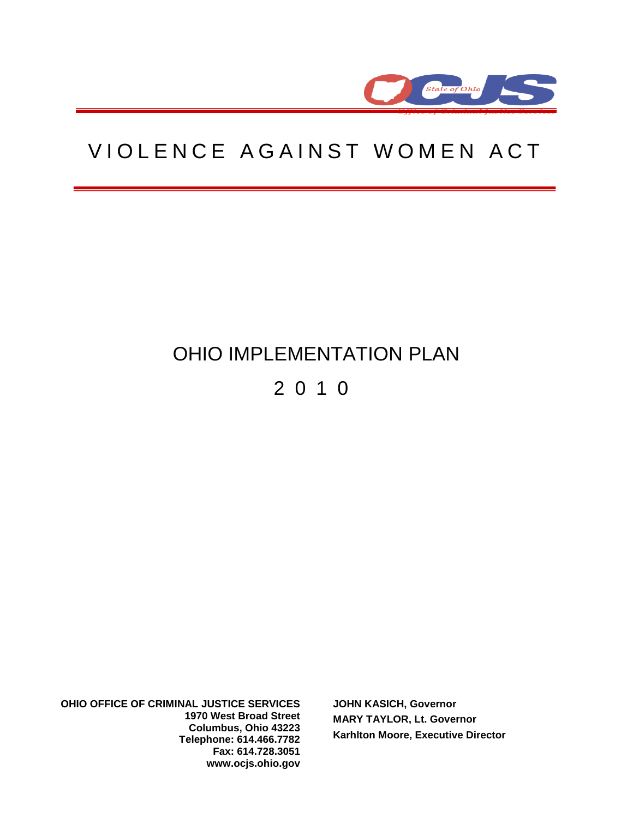

# VIOLENCE AGAINST WOMEN ACT

# OHIO IMPLEMENTATION PLAN

# 2 0 1 0

**OHIO OFFICE OF CRIMINAL JUSTICE SERVICES 1970 West Broad Street Columbus, Ohio 43223 Telephone: 614.466.7782 Fax: 614.728.3051 www.ocjs.ohio.gov**

**JOHN KASICH, Governor MARY TAYLOR, Lt. Governor Karhlton Moore, Executive Director**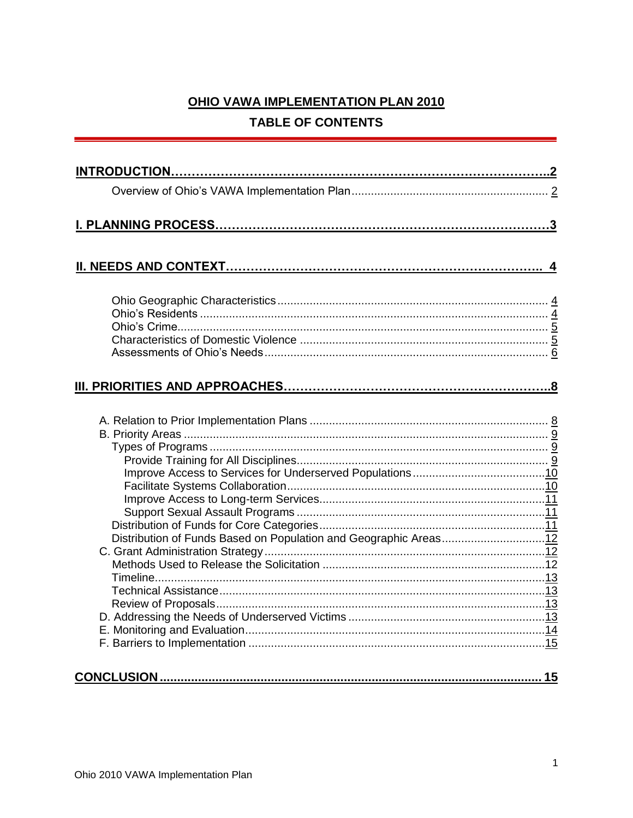# OHIO VAWA IMPLEMENTATION PLAN 2010 **TABLE OF CONTENTS**

| Distribution of Funds Based on Population and Geographic Areas12 |                  |
|------------------------------------------------------------------|------------------|
|                                                                  |                  |
|                                                                  | $\overline{.15}$ |
|                                                                  |                  |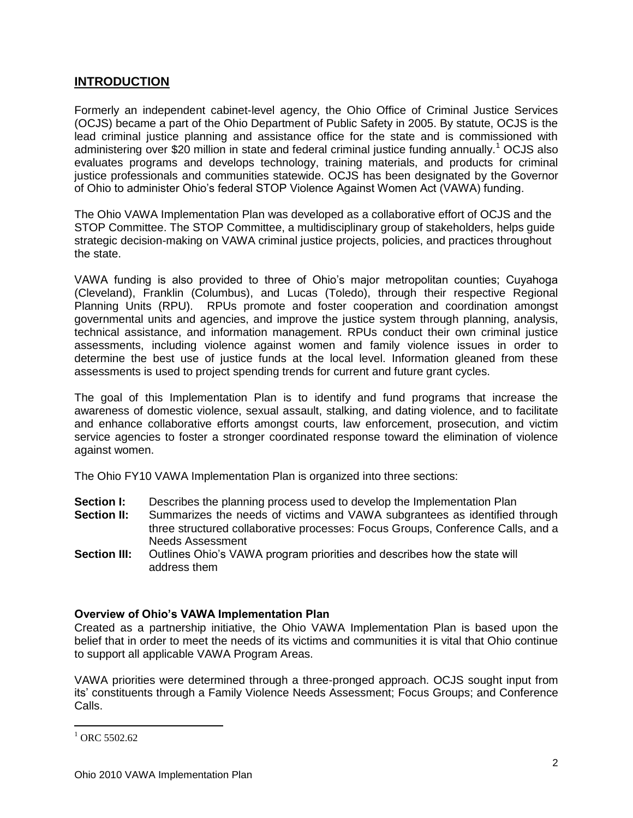# **INTRODUCTION**

Formerly an independent cabinet-level agency, the Ohio Office of Criminal Justice Services (OCJS) became a part of the Ohio Department of Public Safety in 2005. By statute, OCJS is the lead criminal justice planning and assistance office for the state and is commissioned with administering over \$20 million in state and federal criminal justice funding annually.<sup>1</sup> OCJS also evaluates programs and develops technology, training materials, and products for criminal justice professionals and communities statewide. OCJS has been designated by the Governor of Ohio to administer Ohio's federal STOP Violence Against Women Act (VAWA) funding.

The Ohio VAWA Implementation Plan was developed as a collaborative effort of OCJS and the STOP Committee. The STOP Committee, a multidisciplinary group of stakeholders, helps guide strategic decision-making on VAWA criminal justice projects, policies, and practices throughout the state.

VAWA funding is also provided to three of Ohio's major metropolitan counties; Cuyahoga (Cleveland), Franklin (Columbus), and Lucas (Toledo), through their respective Regional Planning Units (RPU). RPUs promote and foster cooperation and coordination amongst governmental units and agencies, and improve the justice system through planning, analysis, technical assistance, and information management. RPUs conduct their own criminal justice assessments, including violence against women and family violence issues in order to determine the best use of justice funds at the local level. Information gleaned from these assessments is used to project spending trends for current and future grant cycles.

The goal of this Implementation Plan is to identify and fund programs that increase the awareness of domestic violence, sexual assault, stalking, and dating violence, and to facilitate and enhance collaborative efforts amongst courts, law enforcement, prosecution, and victim service agencies to foster a stronger coordinated response toward the elimination of violence against women.

The Ohio FY10 VAWA Implementation Plan is organized into three sections:

- **Section I:** Describes the planning process used to develop the Implementation Plan
- **Section II:** Summarizes the needs of victims and VAWA subgrantees as identified through three structured collaborative processes: Focus Groups, Conference Calls, and a Needs Assessment
- **Section III:** Outlines Ohio's VAWA program priorities and describes how the state will address them

#### **Overview of Ohio's VAWA Implementation Plan**

Created as a partnership initiative, the Ohio VAWA Implementation Plan is based upon the belief that in order to meet the needs of its victims and communities it is vital that Ohio continue to support all applicable VAWA Program Areas.

VAWA priorities were determined through a three-pronged approach. OCJS sought input from its' constituents through a Family Violence Needs Assessment; Focus Groups; and Conference Calls.

 $^{1}$  ORC 5502.62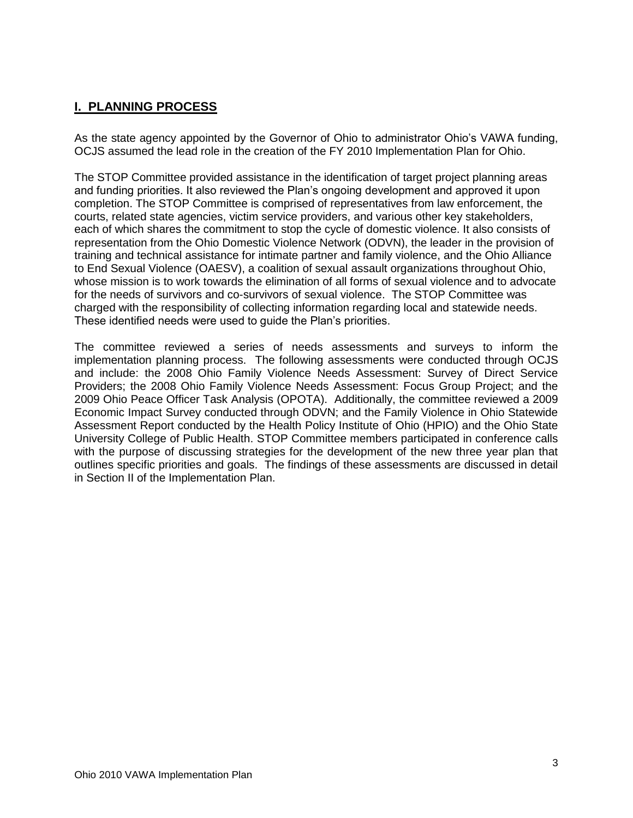# **I. PLANNING PROCESS**

As the state agency appointed by the Governor of Ohio to administrator Ohio's VAWA funding, OCJS assumed the lead role in the creation of the FY 2010 Implementation Plan for Ohio.

The STOP Committee provided assistance in the identification of target project planning areas and funding priorities. It also reviewed the Plan's ongoing development and approved it upon completion. The STOP Committee is comprised of representatives from law enforcement, the courts, related state agencies, victim service providers, and various other key stakeholders, each of which shares the commitment to stop the cycle of domestic violence. It also consists of representation from the Ohio Domestic Violence Network (ODVN), the leader in the provision of training and technical assistance for intimate partner and family violence, and the Ohio Alliance to End Sexual Violence (OAESV), a coalition of sexual assault organizations throughout Ohio, whose mission is to work towards the elimination of all forms of sexual violence and to advocate for the needs of survivors and co-survivors of sexual violence. The STOP Committee was charged with the responsibility of collecting information regarding local and statewide needs. These identified needs were used to guide the Plan's priorities.

The committee reviewed a series of needs assessments and surveys to inform the implementation planning process. The following assessments were conducted through OCJS and include: the 2008 Ohio Family Violence Needs Assessment: Survey of Direct Service Providers; the 2008 Ohio Family Violence Needs Assessment: Focus Group Project; and the 2009 Ohio Peace Officer Task Analysis (OPOTA). Additionally, the committee reviewed a 2009 Economic Impact Survey conducted through ODVN; and the Family Violence in Ohio Statewide Assessment Report conducted by the Health Policy Institute of Ohio (HPIO) and the Ohio State University College of Public Health. STOP Committee members participated in conference calls with the purpose of discussing strategies for the development of the new three year plan that outlines specific priorities and goals. The findings of these assessments are discussed in detail in Section II of the Implementation Plan.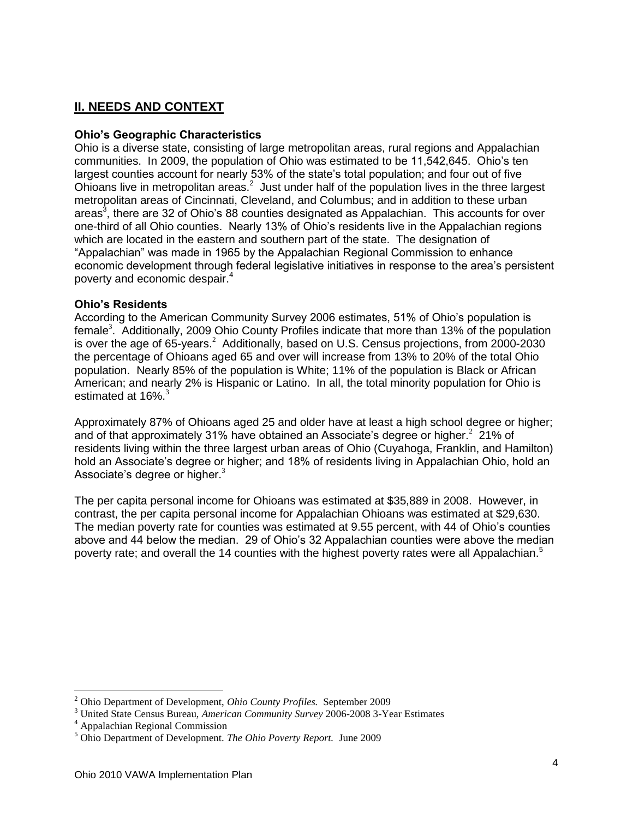# **II. NEEDS AND CONTEXT**

### **Ohio's Geographic Characteristics**

<span id="page-4-1"></span><span id="page-4-0"></span>Ohio is a diverse state, consisting of large metropolitan areas, rural regions and Appalachian communities. In 2009, the population of Ohio was estimated to be 11,542,645. Ohio's ten largest counties account for nearly 53% of the state's total population; and four out of five Ohioans live in metropolitan areas.<sup>2</sup> Just under half of the population lives in the three largest metropolitan areas of Cincinnati, Cleveland, and Columbus; and in addition to these urban areas<sup>3</sup>, there are 32 of Ohio's 88 counties designated as Appalachian. This accounts for over one-third of all Ohio counties. Nearly 13% of Ohio's residents live in the Appalachian regions which are located in the eastern and southern part of the state. The designation of "Appalachian" was made in 1965 by the Appalachian Regional Commission to enhance economic development through federal legislative initiatives in response to the area's persistent poverty and economic despair.<sup>4</sup>

#### **Ohio's Residents**

According to the American Community Survey 2006 estimates, 51% of Ohio's population is female<sup>3</sup>[.](#page-4-0) Additionally, 2009 Ohio County Profiles indicate that more than 13% of the population is over the age of 65-years[.](#page-4-1)<sup>2</sup> Additionally, based on U.S. Census projections, from 2000-2030 the percentage of Ohioans aged 65 and over will increase from 13% to 20% of the total Ohio population. Nearly 85% of the population is White; 11% of the population is Black or African American; and nearly 2% is Hispanic or Latino. In all, the total minority population for Ohio is estimated at  $16\%$ [.](#page-4-0)<sup>3</sup>

Approximately 87% of Ohioans aged 25 and older have at least a high school degree or higher; and of that approximately 31% have obtained an Associate's degree or higher[.](#page-4-1)<sup>2</sup> 21% of residents living within the three largest urban areas of Ohio (Cuyahoga, Franklin, and Hamilton) hold an Associate's degree or higher; and 18% of residents living in Appalachian Ohio, hold an Associate's degree or higher[.](#page-4-0) $3$ 

The per capita personal income for Ohioans was estimated at \$35,889 in 2008. However, in contrast, the per capita personal income for Appalachian Ohioans was estimated at \$29,630. The median poverty rate for counties was estimated at 9.55 percent, with 44 of Ohio's counties above and 44 below the median. 29 of Ohio's 32 Appalachian counties were above the median poverty rate; and overall the 14 counties with the highest poverty rates were all Appalachian.<sup>5</sup>

<sup>2</sup> Ohio Department of Development, *Ohio County Profiles.* September 2009

<sup>3</sup> United State Census Bureau, *American Community Survey* 2006-2008 3-Year Estimates

<sup>4</sup> Appalachian Regional Commission

<sup>5</sup> Ohio Department of Development. *The Ohio Poverty Report.* June 2009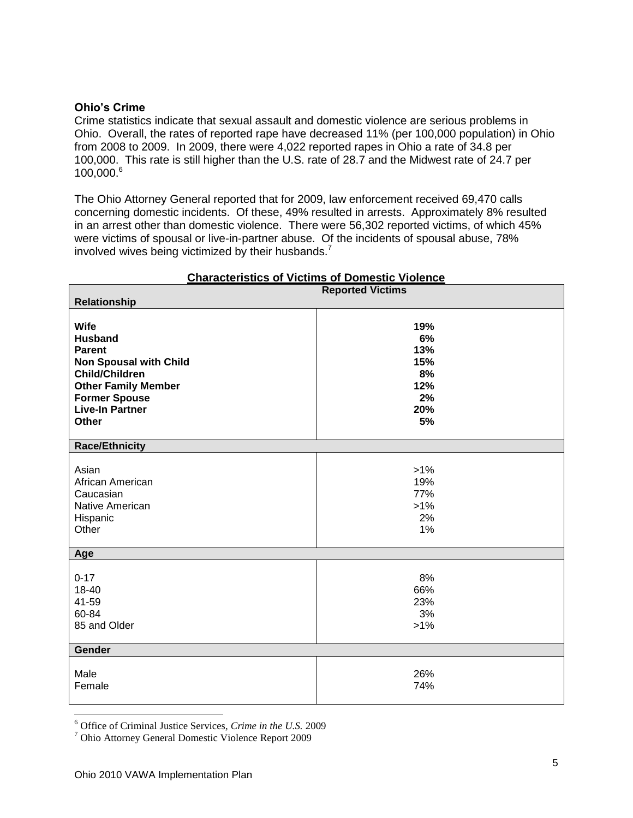#### **Ohio's Crime**

Crime statistics indicate that sexual assault and domestic violence are serious problems in Ohio. Overall, the rates of reported rape have decreased 11% (per 100,000 population) in Ohio from 2008 to 2009. In 2009, there were 4,022 reported rapes in Ohio a rate of 34.8 per 100,000. This rate is still higher than the U.S. rate of 28.7 and the Midwest rate of 24.7 per 100,000.<sup>6</sup>

The Ohio Attorney General reported that for 2009, law enforcement received 69,470 calls concerning domestic incidents. Of these, 49% resulted in arrests. Approximately 8% resulted in an arrest other than domestic violence. There were 56,302 reported victims, of which 45% were victims of spousal or live-in-partner abuse. Of the incidents of spousal abuse, 78% involved wives being victimized by their husbands.<sup>7</sup>

| <b>Characteristics of Victims of Domestic Violence</b>                                                                                                                                                   |                                                         |  |
|----------------------------------------------------------------------------------------------------------------------------------------------------------------------------------------------------------|---------------------------------------------------------|--|
|                                                                                                                                                                                                          | <b>Reported Victims</b>                                 |  |
| Relationship                                                                                                                                                                                             |                                                         |  |
| <b>Wife</b><br><b>Husband</b><br><b>Parent</b><br><b>Non Spousal with Child</b><br><b>Child/Children</b><br><b>Other Family Member</b><br><b>Former Spouse</b><br><b>Live-In Partner</b><br><b>Other</b> | 19%<br>6%<br>13%<br>15%<br>8%<br>12%<br>2%<br>20%<br>5% |  |
| <b>Race/Ethnicity</b>                                                                                                                                                                                    |                                                         |  |
| Asian<br>African American<br>Caucasian<br>Native American<br>Hispanic<br>Other                                                                                                                           | $>1\%$<br>19%<br>77%<br>$>1\%$<br>2%<br>1%              |  |
| Age                                                                                                                                                                                                      |                                                         |  |
| $0 - 17$<br>18-40<br>41-59<br>60-84<br>85 and Older                                                                                                                                                      | 8%<br>66%<br>23%<br>3%<br>$>1\%$                        |  |
| Gender                                                                                                                                                                                                   |                                                         |  |
| Male<br>Female                                                                                                                                                                                           | 26%<br>74%                                              |  |

<sup>6</sup> Office of Criminal Justice Services, *Crime in the U.S.* 2009

<sup>7</sup> Ohio Attorney General Domestic Violence Report 2009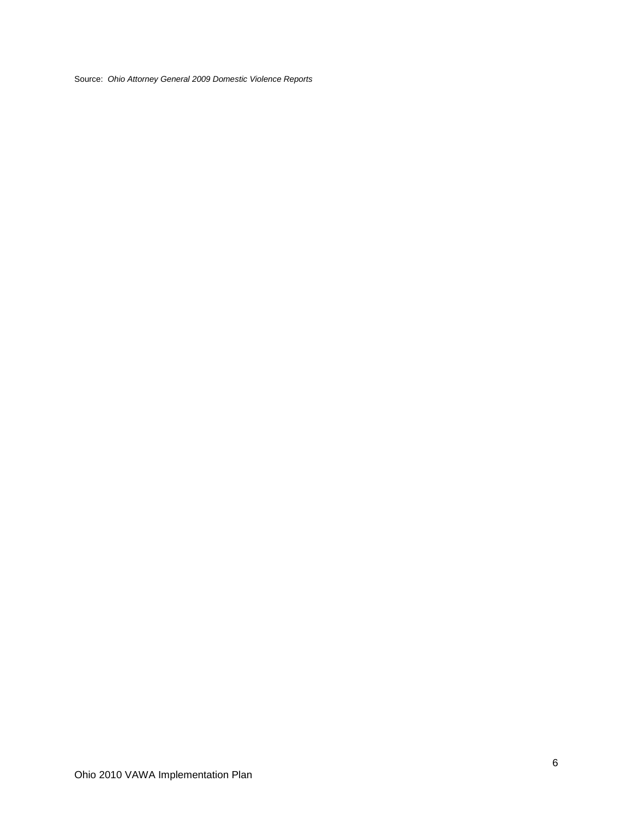Source: *Ohio Attorney General 2009 Domestic Violence Reports*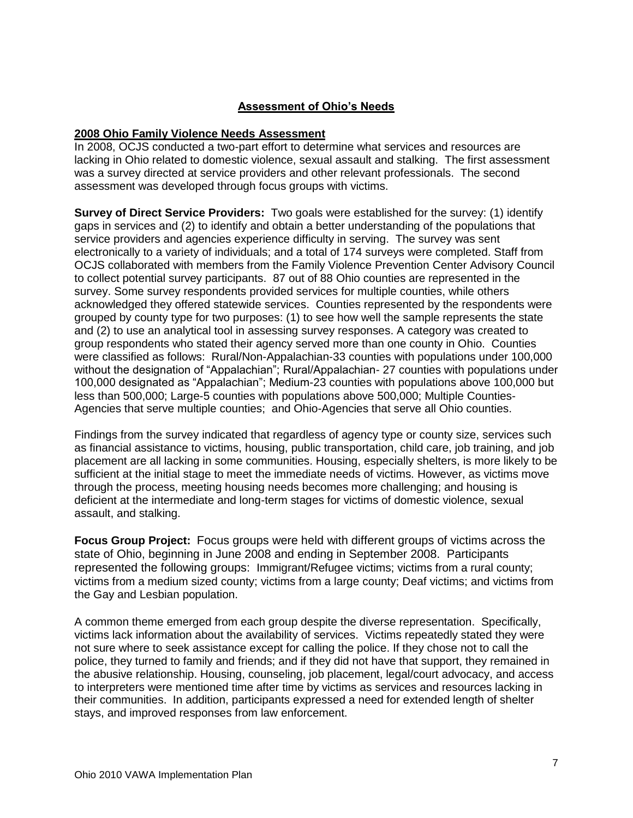# **Assessment of Ohio's Needs**

# **2008 Ohio Family Violence Needs Assessment**

In 2008, OCJS conducted a two-part effort to determine what services and resources are lacking in Ohio related to domestic violence, sexual assault and stalking. The first assessment was a survey directed at service providers and other relevant professionals. The second assessment was developed through focus groups with victims.

**Survey of Direct Service Providers:** Two goals were established for the survey: (1) identify gaps in services and (2) to identify and obtain a better understanding of the populations that service providers and agencies experience difficulty in serving. The survey was sent electronically to a variety of individuals; and a total of 174 surveys were completed. Staff from OCJS collaborated with members from the Family Violence Prevention Center Advisory Council to collect potential survey participants. 87 out of 88 Ohio counties are represented in the survey. Some survey respondents provided services for multiple counties, while others acknowledged they offered statewide services. Counties represented by the respondents were grouped by county type for two purposes: (1) to see how well the sample represents the state and (2) to use an analytical tool in assessing survey responses. A category was created to group respondents who stated their agency served more than one county in Ohio. Counties were classified as follows: Rural/Non-Appalachian-33 counties with populations under 100,000 without the designation of "Appalachian"; Rural/Appalachian- 27 counties with populations under 100,000 designated as "Appalachian"; Medium-23 counties with populations above 100,000 but less than 500,000; Large-5 counties with populations above 500,000; Multiple Counties-Agencies that serve multiple counties; and Ohio-Agencies that serve all Ohio counties.

Findings from the survey indicated that regardless of agency type or county size, services such as financial assistance to victims, housing, public transportation, child care, job training, and job placement are all lacking in some communities. Housing, especially shelters, is more likely to be sufficient at the initial stage to meet the immediate needs of victims. However, as victims move through the process, meeting housing needs becomes more challenging; and housing is deficient at the intermediate and long-term stages for victims of domestic violence, sexual assault, and stalking.

**Focus Group Project:** Focus groups were held with different groups of victims across the state of Ohio, beginning in June 2008 and ending in September 2008. Participants represented the following groups: Immigrant/Refugee victims; victims from a rural county; victims from a medium sized county; victims from a large county; Deaf victims; and victims from the Gay and Lesbian population.

A common theme emerged from each group despite the diverse representation. Specifically, victims lack information about the availability of services. Victims repeatedly stated they were not sure where to seek assistance except for calling the police. If they chose not to call the police, they turned to family and friends; and if they did not have that support, they remained in the abusive relationship. Housing, counseling, job placement, legal/court advocacy, and access to interpreters were mentioned time after time by victims as services and resources lacking in their communities. In addition, participants expressed a need for extended length of shelter stays, and improved responses from law enforcement.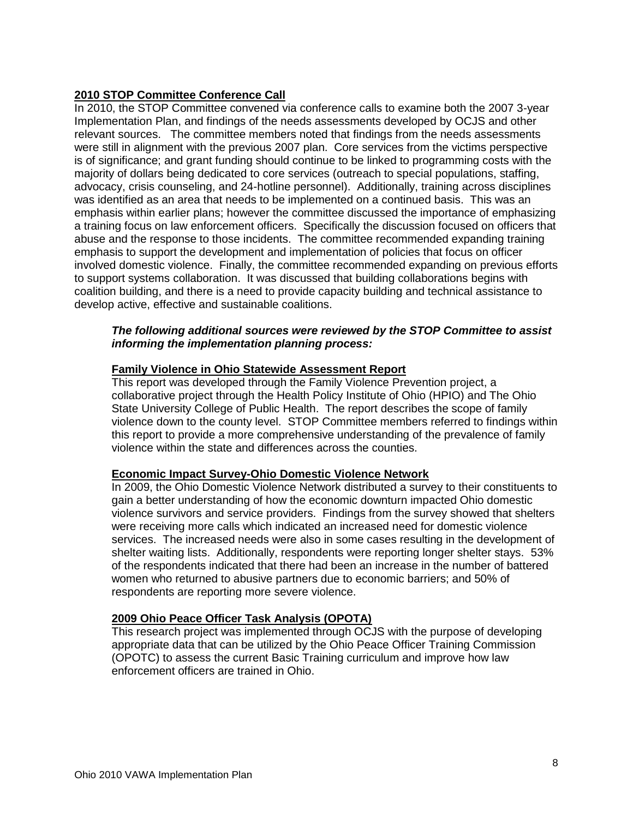# **2010 STOP Committee Conference Call**

In 2010, the STOP Committee convened via conference calls to examine both the 2007 3-year Implementation Plan, and findings of the needs assessments developed by OCJS and other relevant sources. The committee members noted that findings from the needs assessments were still in alignment with the previous 2007 plan. Core services from the victims perspective is of significance; and grant funding should continue to be linked to programming costs with the majority of dollars being dedicated to core services (outreach to special populations, staffing, advocacy, crisis counseling, and 24-hotline personnel). Additionally, training across disciplines was identified as an area that needs to be implemented on a continued basis. This was an emphasis within earlier plans; however the committee discussed the importance of emphasizing a training focus on law enforcement officers. Specifically the discussion focused on officers that abuse and the response to those incidents. The committee recommended expanding training emphasis to support the development and implementation of policies that focus on officer involved domestic violence. Finally, the committee recommended expanding on previous efforts to support systems collaboration. It was discussed that building collaborations begins with coalition building, and there is a need to provide capacity building and technical assistance to develop active, effective and sustainable coalitions.

# *The following additional sources were reviewed by the STOP Committee to assist informing the implementation planning process:*

#### **Family Violence in Ohio Statewide Assessment Report**

This report was developed through the Family Violence Prevention project, a collaborative project through the Health Policy Institute of Ohio (HPIO) and The Ohio State University College of Public Health. The report describes the scope of family violence down to the county level. STOP Committee members referred to findings within this report to provide a more comprehensive understanding of the prevalence of family violence within the state and differences across the counties.

#### **Economic Impact Survey-Ohio Domestic Violence Network**

In 2009, the Ohio Domestic Violence Network distributed a survey to their constituents to gain a better understanding of how the economic downturn impacted Ohio domestic violence survivors and service providers. Findings from the survey showed that shelters were receiving more calls which indicated an increased need for domestic violence services. The increased needs were also in some cases resulting in the development of shelter waiting lists. Additionally, respondents were reporting longer shelter stays. 53% of the respondents indicated that there had been an increase in the number of battered women who returned to abusive partners due to economic barriers; and 50% of respondents are reporting more severe violence.

#### **2009 Ohio Peace Officer Task Analysis (OPOTA)**

This research project was implemented through OCJS with the purpose of developing appropriate data that can be utilized by the Ohio Peace Officer Training Commission (OPOTC) to assess the current Basic Training curriculum and improve how law enforcement officers are trained in Ohio.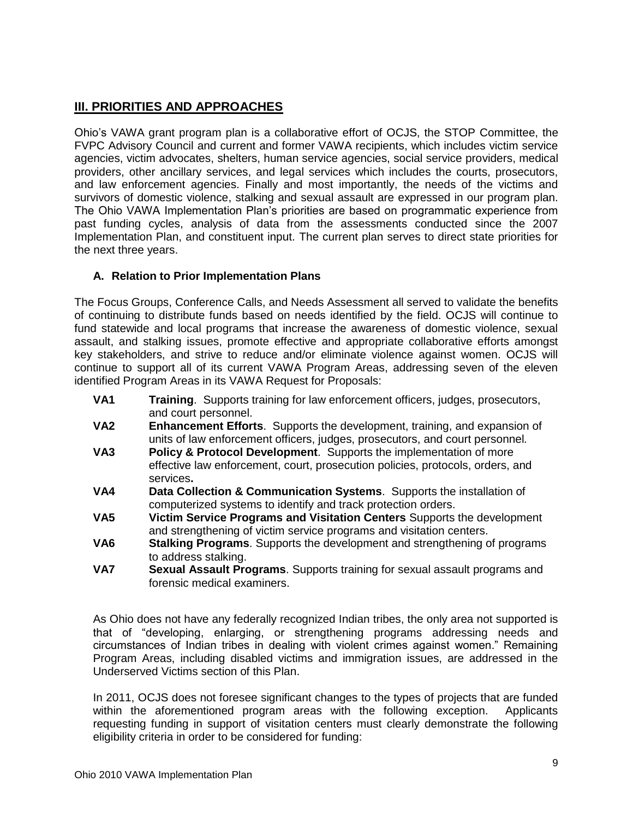# **III. PRIORITIES AND APPROACHES**

Ohio's VAWA grant program plan is a collaborative effort of OCJS, the STOP Committee, the FVPC Advisory Council and current and former VAWA recipients, which includes victim service agencies, victim advocates, shelters, human service agencies, social service providers, medical providers, other ancillary services, and legal services which includes the courts, prosecutors, and law enforcement agencies. Finally and most importantly, the needs of the victims and survivors of domestic violence, stalking and sexual assault are expressed in our program plan. The Ohio VAWA Implementation Plan's priorities are based on programmatic experience from past funding cycles, analysis of data from the assessments conducted since the 2007 Implementation Plan, and constituent input. The current plan serves to direct state priorities for the next three years.

# **A. Relation to Prior Implementation Plans**

The Focus Groups, Conference Calls, and Needs Assessment all served to validate the benefits of continuing to distribute funds based on needs identified by the field. OCJS will continue to fund statewide and local programs that increase the awareness of domestic violence, sexual assault, and stalking issues, promote effective and appropriate collaborative efforts amongst key stakeholders, and strive to reduce and/or eliminate violence against women. OCJS will continue to support all of its current VAWA Program Areas, addressing seven of the eleven identified Program Areas in its VAWA Request for Proposals:

- **VA1 Training**. Supports training for law enforcement officers, judges, prosecutors, and court personnel.
- **VA2 Enhancement Efforts**. Supports the development, training, and expansion of units of law enforcement officers, judges, prosecutors, and court personnel*.*
- **VA3 Policy & Protocol Development**. Supports the implementation of more effective law enforcement, court, prosecution policies, protocols, orders, and services**.**
- **VA4 Data Collection & Communication Systems**. Supports the installation of computerized systems to identify and track protection orders.
- **VA5 Victim Service Programs and Visitation Centers** Supports the development and strengthening of victim service programs and visitation centers.
- **VA6 Stalking Programs**. Supports the development and strengthening of programs to address stalking.
- **VA7 Sexual Assault Programs**. Supports training for sexual assault programs and forensic medical examiners.

As Ohio does not have any federally recognized Indian tribes, the only area not supported is that of "developing, enlarging, or strengthening programs addressing needs and circumstances of Indian tribes in dealing with violent crimes against women." Remaining Program Areas, including disabled victims and immigration issues, are addressed in the Underserved Victims section of this Plan.

In 2011, OCJS does not foresee significant changes to the types of projects that are funded within the aforementioned program areas with the following exception. Applicants requesting funding in support of visitation centers must clearly demonstrate the following eligibility criteria in order to be considered for funding: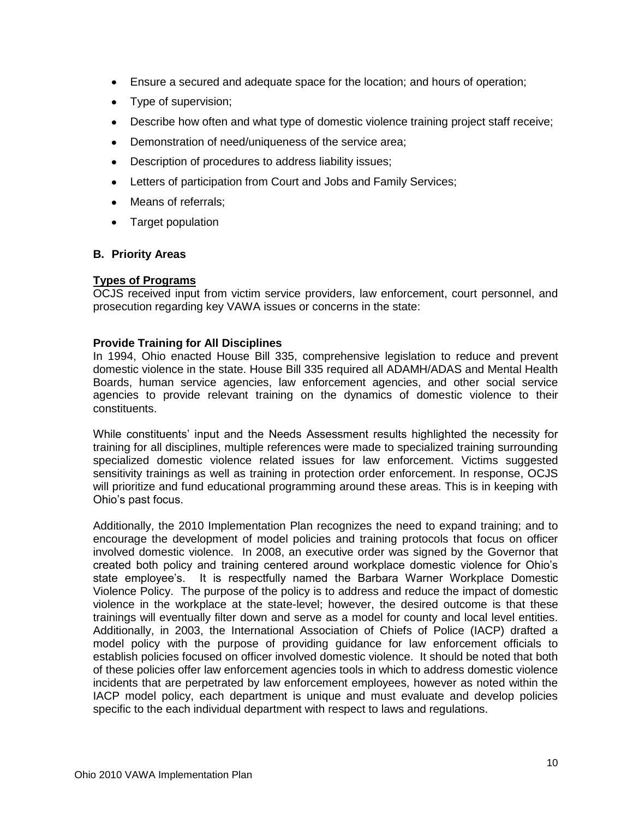- Ensure a secured and adequate space for the location; and hours of operation;
- Type of supervision;
- Describe how often and what type of domestic violence training project staff receive;
- Demonstration of need/uniqueness of the service area;
- Description of procedures to address liability issues;  $\bullet$
- Letters of participation from Court and Jobs and Family Services;
- Means of referrals:
- Target population

# **B. Priority Areas**

# **Types of Programs**

OCJS received input from victim service providers, law enforcement, court personnel, and prosecution regarding key VAWA issues or concerns in the state:

# **Provide Training for All Disciplines**

In 1994, Ohio enacted House Bill 335, comprehensive legislation to reduce and prevent domestic violence in the state. House Bill 335 required all ADAMH/ADAS and Mental Health Boards, human service agencies, law enforcement agencies, and other social service agencies to provide relevant training on the dynamics of domestic violence to their constituents.

While constituents' input and the Needs Assessment results highlighted the necessity for training for all disciplines, multiple references were made to specialized training surrounding specialized domestic violence related issues for law enforcement. Victims suggested sensitivity trainings as well as training in protection order enforcement. In response, OCJS will prioritize and fund educational programming around these areas. This is in keeping with Ohio's past focus.

Additionally, the 2010 Implementation Plan recognizes the need to expand training; and to encourage the development of model policies and training protocols that focus on officer involved domestic violence. In 2008, an executive order was signed by the Governor that created both policy and training centered around workplace domestic violence for Ohio's state employee's. It is respectfully named the Barbara Warner Workplace Domestic Violence Policy. The purpose of the policy is to address and reduce the impact of domestic violence in the workplace at the state-level; however, the desired outcome is that these trainings will eventually filter down and serve as a model for county and local level entities. Additionally, in 2003, the International Association of Chiefs of Police (IACP) drafted a model policy with the purpose of providing guidance for law enforcement officials to establish policies focused on officer involved domestic violence. It should be noted that both of these policies offer law enforcement agencies tools in which to address domestic violence incidents that are perpetrated by law enforcement employees, however as noted within the IACP model policy, each department is unique and must evaluate and develop policies specific to the each individual department with respect to laws and regulations.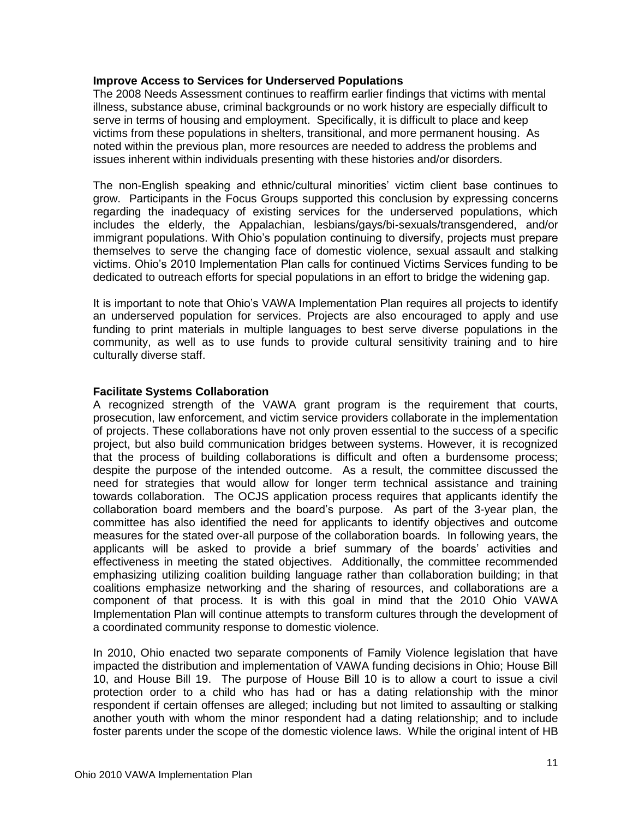# **Improve Access to Services for Underserved Populations**

The 2008 Needs Assessment continues to reaffirm earlier findings that victims with mental illness, substance abuse, criminal backgrounds or no work history are especially difficult to serve in terms of housing and employment. Specifically, it is difficult to place and keep victims from these populations in shelters, transitional, and more permanent housing. As noted within the previous plan, more resources are needed to address the problems and issues inherent within individuals presenting with these histories and/or disorders.

The non-English speaking and ethnic/cultural minorities' victim client base continues to grow. Participants in the Focus Groups supported this conclusion by expressing concerns regarding the inadequacy of existing services for the underserved populations, which includes the elderly, the Appalachian, lesbians/gays/bi-sexuals/transgendered, and/or immigrant populations. With Ohio's population continuing to diversify, projects must prepare themselves to serve the changing face of domestic violence, sexual assault and stalking victims. Ohio's 2010 Implementation Plan calls for continued Victims Services funding to be dedicated to outreach efforts for special populations in an effort to bridge the widening gap.

It is important to note that Ohio's VAWA Implementation Plan requires all projects to identify an underserved population for services. Projects are also encouraged to apply and use funding to print materials in multiple languages to best serve diverse populations in the community, as well as to use funds to provide cultural sensitivity training and to hire culturally diverse staff.

# **Facilitate Systems Collaboration**

A recognized strength of the VAWA grant program is the requirement that courts, prosecution, law enforcement, and victim service providers collaborate in the implementation of projects. These collaborations have not only proven essential to the success of a specific project, but also build communication bridges between systems. However, it is recognized that the process of building collaborations is difficult and often a burdensome process; despite the purpose of the intended outcome. As a result, the committee discussed the need for strategies that would allow for longer term technical assistance and training towards collaboration. The OCJS application process requires that applicants identify the collaboration board members and the board's purpose. As part of the 3-year plan, the committee has also identified the need for applicants to identify objectives and outcome measures for the stated over-all purpose of the collaboration boards. In following years, the applicants will be asked to provide a brief summary of the boards' activities and effectiveness in meeting the stated objectives. Additionally, the committee recommended emphasizing utilizing coalition building language rather than collaboration building; in that coalitions emphasize networking and the sharing of resources, and collaborations are a component of that process. It is with this goal in mind that the 2010 Ohio VAWA Implementation Plan will continue attempts to transform cultures through the development of a coordinated community response to domestic violence.

In 2010, Ohio enacted two separate components of Family Violence legislation that have impacted the distribution and implementation of VAWA funding decisions in Ohio; House Bill 10, and House Bill 19. The purpose of House Bill 10 is to allow a court to issue a civil protection order to a child who has had or has a dating relationship with the minor respondent if certain offenses are alleged; including but not limited to assaulting or stalking another youth with whom the minor respondent had a dating relationship; and to include foster parents under the scope of the domestic violence laws. While the original intent of HB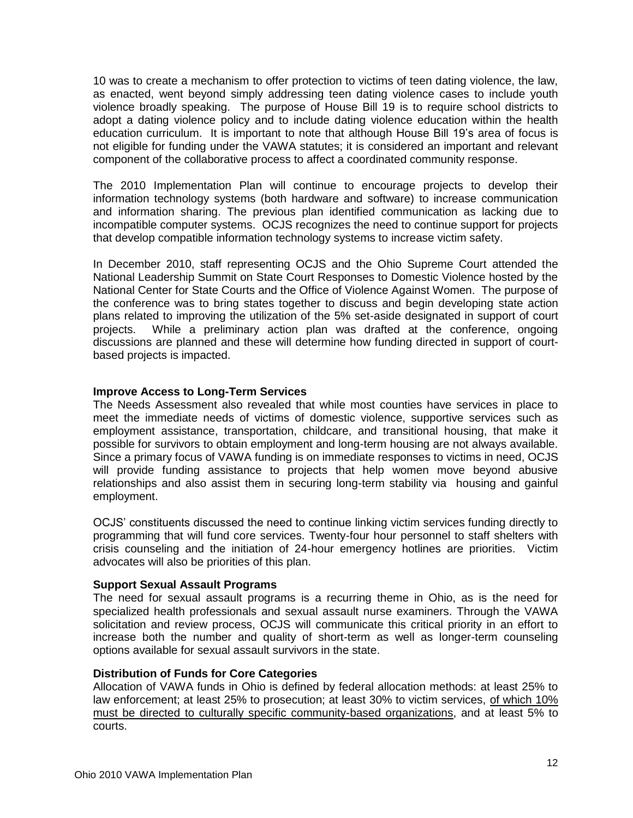10 was to create a mechanism to offer protection to victims of teen dating violence, the law, as enacted, went beyond simply addressing teen dating violence cases to include youth violence broadly speaking. The purpose of House Bill 19 is to require school districts to adopt a dating violence policy and to include dating violence education within the health education curriculum. It is important to note that although House Bill 19's area of focus is not eligible for funding under the VAWA statutes; it is considered an important and relevant component of the collaborative process to affect a coordinated community response.

The 2010 Implementation Plan will continue to encourage projects to develop their information technology systems (both hardware and software) to increase communication and information sharing. The previous plan identified communication as lacking due to incompatible computer systems. OCJS recognizes the need to continue support for projects that develop compatible information technology systems to increase victim safety.

In December 2010, staff representing OCJS and the Ohio Supreme Court attended the National Leadership Summit on State Court Responses to Domestic Violence hosted by the National Center for State Courts and the Office of Violence Against Women. The purpose of the conference was to bring states together to discuss and begin developing state action plans related to improving the utilization of the 5% set-aside designated in support of court projects. While a preliminary action plan was drafted at the conference, ongoing discussions are planned and these will determine how funding directed in support of courtbased projects is impacted.

# **Improve Access to Long-Term Services**

The Needs Assessment also revealed that while most counties have services in place to meet the immediate needs of victims of domestic violence, supportive services such as employment assistance, transportation, childcare, and transitional housing, that make it possible for survivors to obtain employment and long-term housing are not always available. Since a primary focus of VAWA funding is on immediate responses to victims in need, OCJS will provide funding assistance to projects that help women move beyond abusive relationships and also assist them in securing long-term stability via housing and gainful employment.

OCJS' constituents discussed the need to continue linking victim services funding directly to programming that will fund core services. Twenty-four hour personnel to staff shelters with crisis counseling and the initiation of 24-hour emergency hotlines are priorities. Victim advocates will also be priorities of this plan.

#### **Support Sexual Assault Programs**

The need for sexual assault programs is a recurring theme in Ohio, as is the need for specialized health professionals and sexual assault nurse examiners. Through the VAWA solicitation and review process, OCJS will communicate this critical priority in an effort to increase both the number and quality of short-term as well as longer-term counseling options available for sexual assault survivors in the state.

#### **Distribution of Funds for Core Categories**

Allocation of VAWA funds in Ohio is defined by federal allocation methods: at least 25% to law enforcement; at least 25% to prosecution; at least 30% to victim services, of which 10% must be directed to culturally specific community-based organizations, and at least 5% to courts.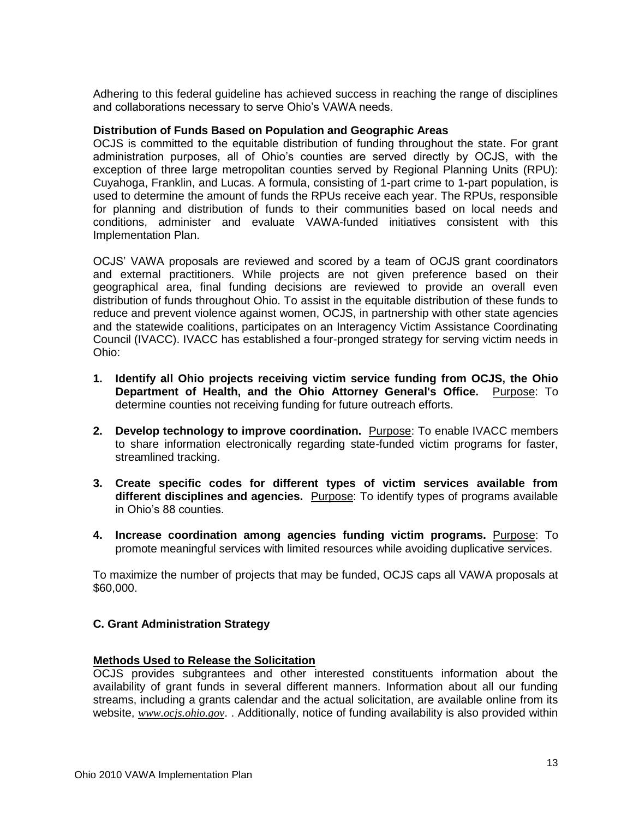Adhering to this federal guideline has achieved success in reaching the range of disciplines and collaborations necessary to serve Ohio's VAWA needs.

#### **Distribution of Funds Based on Population and Geographic Areas**

OCJS is committed to the equitable distribution of funding throughout the state. For grant administration purposes, all of Ohio's counties are served directly by OCJS, with the exception of three large metropolitan counties served by Regional Planning Units (RPU): Cuyahoga, Franklin, and Lucas. A formula, consisting of 1-part crime to 1-part population, is used to determine the amount of funds the RPUs receive each year. The RPUs, responsible for planning and distribution of funds to their communities based on local needs and conditions, administer and evaluate VAWA-funded initiatives consistent with this Implementation Plan.

OCJS' VAWA proposals are reviewed and scored by a team of OCJS grant coordinators and external practitioners. While projects are not given preference based on their geographical area, final funding decisions are reviewed to provide an overall even distribution of funds throughout Ohio. To assist in the equitable distribution of these funds to reduce and prevent violence against women, OCJS, in partnership with other state agencies and the statewide coalitions, participates on an Interagency Victim Assistance Coordinating Council (IVACC). IVACC has established a four-pronged strategy for serving victim needs in Ohio:

- **1. Identify all Ohio projects receiving victim service funding from OCJS, the Ohio Department of Health, and the Ohio Attorney General's Office.** Purpose: To determine counties not receiving funding for future outreach efforts.
- **2. Develop technology to improve coordination.** Purpose: To enable IVACC members to share information electronically regarding state-funded victim programs for faster, streamlined tracking.
- **3. Create specific codes for different types of victim services available from different disciplines and agencies.** Purpose: To identify types of programs available in Ohio's 88 counties.
- **4. Increase coordination among agencies funding victim programs.** Purpose: To promote meaningful services with limited resources while avoiding duplicative services.

To maximize the number of projects that may be funded, OCJS caps all VAWA proposals at \$60,000.

# **C. Grant Administration Strategy**

#### **Methods Used to Release the Solicitation**

OCJS provides subgrantees and other interested constituents information about the availability of grant funds in several different manners. Information about all our funding streams, including a grants calendar and the actual solicitation, are available online from its website, *[www.ocjs.ohio.gov](http://www.ocjs.ohio.gov/)*. . Additionally, notice of funding availability is also provided within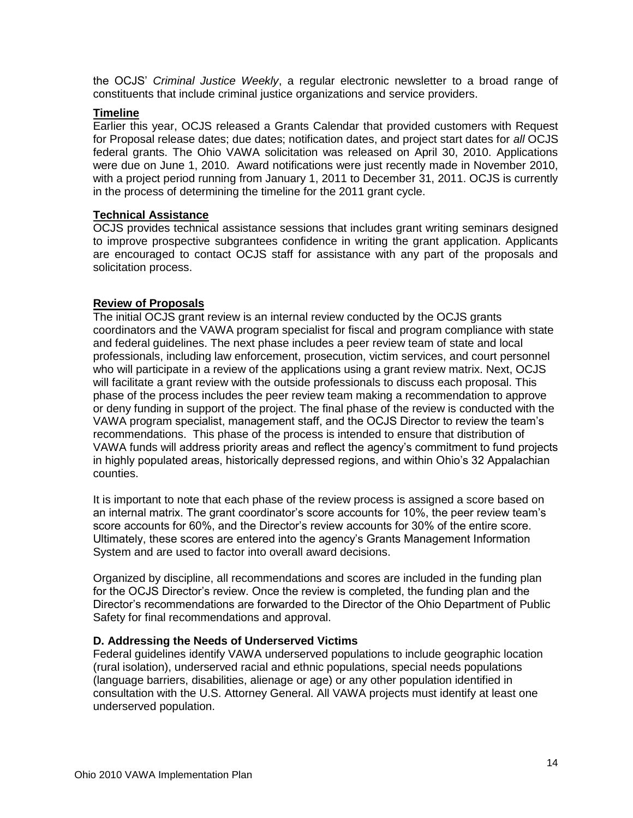the OCJS' *Criminal Justice Weekly*, a regular electronic newsletter to a broad range of constituents that include criminal justice organizations and service providers.

# **Timeline**

Earlier this year, OCJS released a Grants Calendar that provided customers with Request for Proposal release dates; due dates; notification dates, and project start dates for *all* OCJS federal grants. The Ohio VAWA solicitation was released on April 30, 2010. Applications were due on June 1, 2010. Award notifications were just recently made in November 2010, with a project period running from January 1, 2011 to December 31, 2011. OCJS is currently in the process of determining the timeline for the 2011 grant cycle.

# **Technical Assistance**

OCJS provides technical assistance sessions that includes grant writing seminars designed to improve prospective subgrantees confidence in writing the grant application. Applicants are encouraged to contact OCJS staff for assistance with any part of the proposals and solicitation process.

# **Review of Proposals**

The initial OCJS grant review is an internal review conducted by the OCJS grants coordinators and the VAWA program specialist for fiscal and program compliance with state and federal guidelines. The next phase includes a peer review team of state and local professionals, including law enforcement, prosecution, victim services, and court personnel who will participate in a review of the applications using a grant review matrix. Next, OCJS will facilitate a grant review with the outside professionals to discuss each proposal. This phase of the process includes the peer review team making a recommendation to approve or deny funding in support of the project. The final phase of the review is conducted with the VAWA program specialist, management staff, and the OCJS Director to review the team's recommendations. This phase of the process is intended to ensure that distribution of VAWA funds will address priority areas and reflect the agency's commitment to fund projects in highly populated areas, historically depressed regions, and within Ohio's 32 Appalachian counties.

It is important to note that each phase of the review process is assigned a score based on an internal matrix. The grant coordinator's score accounts for 10%, the peer review team's score accounts for 60%, and the Director's review accounts for 30% of the entire score. Ultimately, these scores are entered into the agency's Grants Management Information System and are used to factor into overall award decisions.

Organized by discipline, all recommendations and scores are included in the funding plan for the OCJS Director's review. Once the review is completed, the funding plan and the Director's recommendations are forwarded to the Director of the Ohio Department of Public Safety for final recommendations and approval.

#### **D. Addressing the Needs of Underserved Victims**

Federal guidelines identify VAWA underserved populations to include geographic location (rural isolation), underserved racial and ethnic populations, special needs populations (language barriers, disabilities, alienage or age) or any other population identified in consultation with the U.S. Attorney General. All VAWA projects must identify at least one underserved population.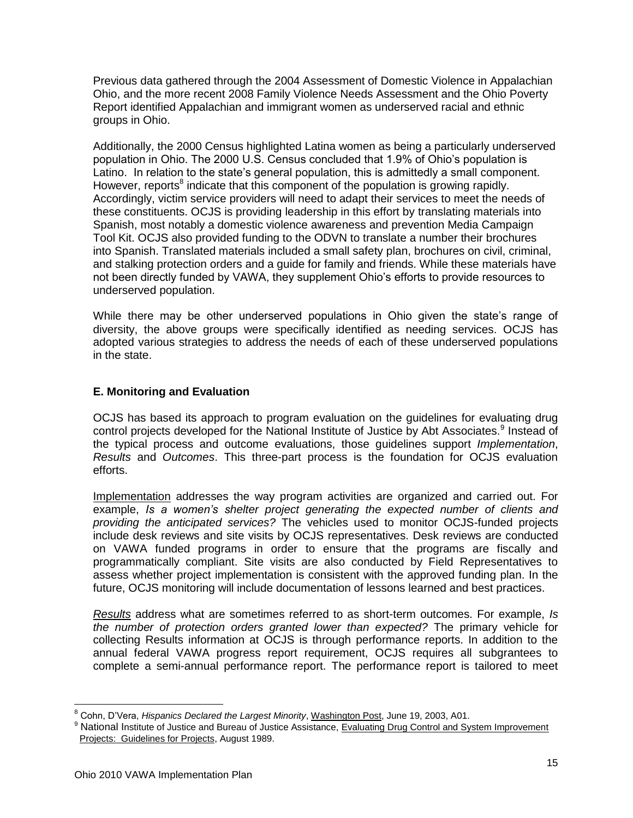Previous data gathered through the 2004 Assessment of Domestic Violence in Appalachian Ohio, and the more recent 2008 Family Violence Needs Assessment and the Ohio Poverty Report identified Appalachian and immigrant women as underserved racial and ethnic groups in Ohio.

Additionally, the 2000 Census highlighted Latina women as being a particularly underserved population in Ohio. The 2000 U.S. Census concluded that 1.9% of Ohio's population is Latino. In relation to the state's general population, this is admittedly a small component. However, reports<sup>8</sup> indicate that this component of the population is growing rapidly. Accordingly, victim service providers will need to adapt their services to meet the needs of these constituents. OCJS is providing leadership in this effort by translating materials into Spanish, most notably a domestic violence awareness and prevention Media Campaign Tool Kit. OCJS also provided funding to the ODVN to translate a number their brochures into Spanish. Translated materials included a small safety plan, brochures on civil, criminal, and stalking protection orders and a guide for family and friends. While these materials have not been directly funded by VAWA, they supplement Ohio's efforts to provide resources to underserved population.

While there may be other underserved populations in Ohio given the state's range of diversity, the above groups were specifically identified as needing services. OCJS has adopted various strategies to address the needs of each of these underserved populations in the state.

# **E. Monitoring and Evaluation**

OCJS has based its approach to program evaluation on the guidelines for evaluating drug control projects developed for the National Institute of Justice by Abt Associates.<sup>9</sup> Instead of the typical process and outcome evaluations, those guidelines support *Implementation*, *Results* and *Outcomes*. This three-part process is the foundation for OCJS evaluation efforts.

Implementation addresses the way program activities are organized and carried out. For example, *Is a women's shelter project generating the expected number of clients and providing the anticipated services?* The vehicles used to monitor OCJS-funded projects include desk reviews and site visits by OCJS representatives. Desk reviews are conducted on VAWA funded programs in order to ensure that the programs are fiscally and programmatically compliant. Site visits are also conducted by Field Representatives to assess whether project implementation is consistent with the approved funding plan. In the future, OCJS monitoring will include documentation of lessons learned and best practices.

*Results* address what are sometimes referred to as short-term outcomes. For example, *Is the number of protection orders granted lower than expected?* The primary vehicle for collecting Results information at OCJS is through performance reports. In addition to the annual federal VAWA progress report requirement, OCJS requires all subgrantees to complete a semi-annual performance report. The performance report is tailored to meet

<sup>8</sup> Cohn, D'Vera, *Hispanics Declared the Largest Minority*, Washington Post, June 19, 2003, A01.

<sup>&</sup>lt;sup>9</sup> National Institute of Justice and Bureau of Justice Assistance, Evaluating Drug Control and System Improvement Projects: Guidelines for Projects, August 1989.